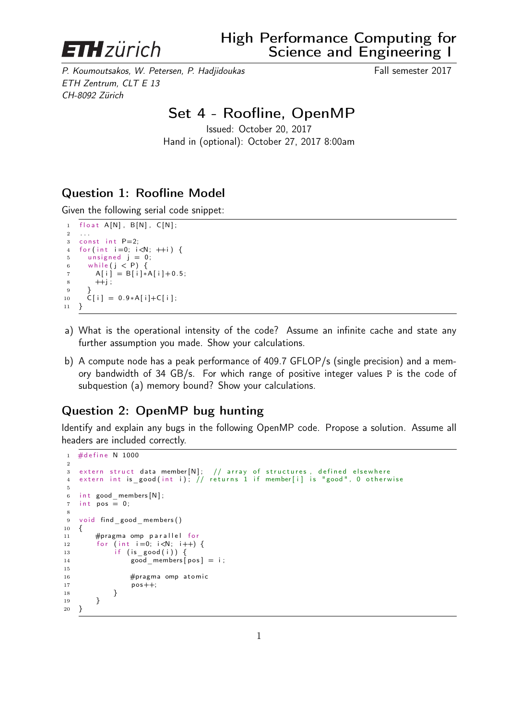

P. Koumoutsakos, W. Petersen, P. Hadjidoukas Fall semester 2017 ETH Zentrum, CLT E 13 CH-8092 Zürich

# Set 4 - Roofline, OpenMP

Issued: October 20, 2017 Hand in (optional): October 27, 2017 8:00am

## Question 1: Roofline Model

Given the following serial code snippet:

```
1 float A[N], B[N], C[N];
2<sup>1</sup>3 const int P=2;
4 for (int i=0; i < N; ++i) {
5 unsigned j = 0;
6 while (j < P) {
7 A[i] = B[i]*A[i]+0.5;8 + j;\overline{9}10 \tilde{C}[\;i\;] = 0.9*A[i]+C[i];11 }
```
- a) What is the operational intensity of the code? Assume an infinite cache and state any further assumption you made. Show your calculations.
- b) A compute node has a peak performance of 409.7 GFLOP/s (single precision) and a memory bandwidth of 34 GB/s. For which range of positive integer values P is the code of subquestion (a) memory bound? Show your calculations.

## Question 2: OpenMP bug hunting

Identify and explain any bugs in the following OpenMP code. Propose a solution. Assume all headers are included correctly.

```
1 #define N 1000
2
 3 extern struct {\sf data\ member}[{\sf N}]\,;\quad\,/\, array of structures , <code>defined elsewhere</code>
 4 extern int is good(int i); // returns 1 if member[i] is "good", 0 otherwise
5
6 int good members [N];
7 int pos = 0;
8
9 void find good members ()
10 {
11 #pragma omp parallel for<br>12 for (int i=0; i<N; i++)
        for (int i=0; i<N; i++) {
13 if (is good (i)) \{14 good members [ pos ] = i ;
15
16 #pragma omp atomic
17 pos + +;<br>18 }
18 }
19 }
20 }
```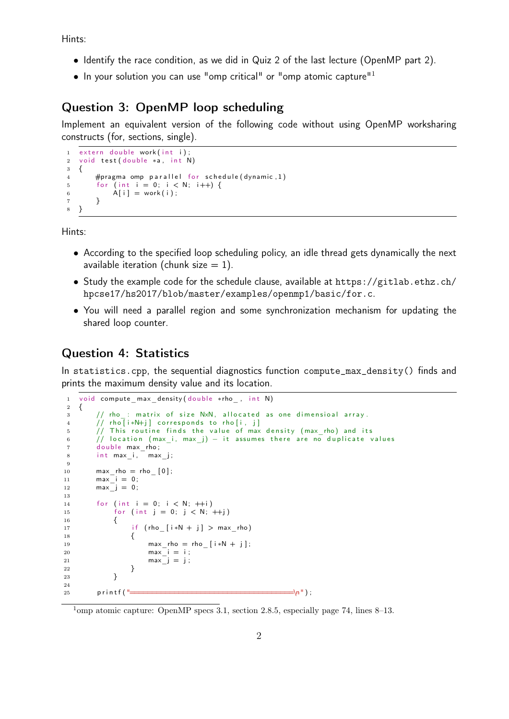Hints:

- Identify the race condition, as we did in Quiz 2 of the last lecture (OpenMP part 2).
- $\bullet$  In your solution you can use "omp critical" or "omp atomic capture"<sup>1</sup>

#### Question 3: OpenMP loop scheduling

Implement an equivalent version of the following code without using OpenMP worksharing constructs (for, sections, single).

```
extern double work (int i);
2 void test (double *a, int N)
3 {
4 #pragma omp parallel for schedule (dynamic, 1)
5 for (int i = 0; i < N; i++) {
6 A[i] = work(i);7 }
8 }
```
Hints:

- According to the specified loop scheduling policy, an idle thread gets dynamically the next available iteration (chunk size  $= 1$ ).
- Study the example code for the schedule clause, available at https://gitlab.ethz.ch/ hpcse17/hs2017/blob/master/examples/openmp1/basic/for.c.
- You will need a parallel region and some synchronization mechanism for updating the shared loop counter.

#### Question 4: Statistics

In statistics.cpp, the sequential diagnostics function compute max density() finds and prints the maximum density value and its location.

```
1 void compute max density ( double *rho , int N)
2 {
\frac{3}{1} // rho : matrix of size NxN, allocated as one dimensioal array.
4 // rho [i*N+j] corresponds to rho [i, j]
5 // This routine finds the value of max density (max_rho) and its
6 // location (max_i, max_j) - it assumes there are no duplicate values
7 double max_rho;
8 int max i, max j;
9
10 max_{10} max rho = rho_{0} [0];
11 max i = 0;
12 max j = 0;
13
14 for (int i = 0; i < N; +i)
15 for (int j = 0; j < N; +j)<br>16 f
16 {
17 if (rho_{i} + N + j) > max rho)
18 {
19 max rho = rho [ i*N + j ];
20 max_i^- i = i;
21 max j = j;
22 }
23 }
24
25 p r i n t f ( "=====================================\n" ) ;
```
<sup>&</sup>lt;sup>1</sup>omp atomic capture: OpenMP specs 3.1, section 2.8.5, especially page 74, lines 8–13.